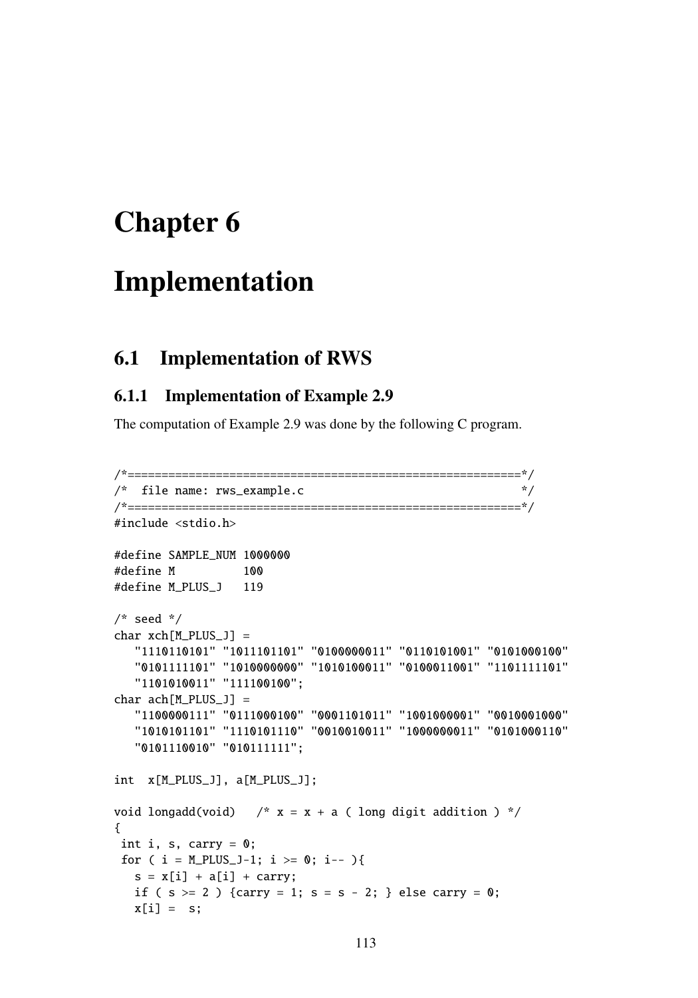# Chapter 6

# Implementation

# 6.1 Implementation of RWS

# 6.1.1 Implementation of Example 2.9

The computation of Example 2.9 was done by the following C program.

```
/*==========================================================*/
/* file name: rws\_example.c */
/*==========================================================*/
#include <stdio.h>
#define SAMPLE_NUM 1000000
#define M 100
#define M_PLUS_J 119
/* seed */char xch[M_PLUS_J] =
  "1110110101" "1011101101" "0100000011" "0110101001" "0101000100"
  "0101111101" "1010000000" "1010100011" "0100011001" "1101111101"
  "1101010011" "111100100";
char ach[M_PLUS_J] =
  "1100000111" "0111000100" "0001101011" "1001000001" "0010001000"
  "1010101101" "1110101110" "0010010011" "1000000011" "0101000110"
  "0101110010" "010111111";
int x[M_PLUS_J], a[M_PLUS_J];
void longadd(void) /* x = x + a (long digit addition ) */
{
int i, s, carry = 0;
for ( i = M_P LUS_1-1; i >= 0; i-- ){
  s = x[i] + a[i] + carry;if ( s > = 2 ) {carry = 1; s = s - 2; } else carry = 0;
  x[i] = s;
```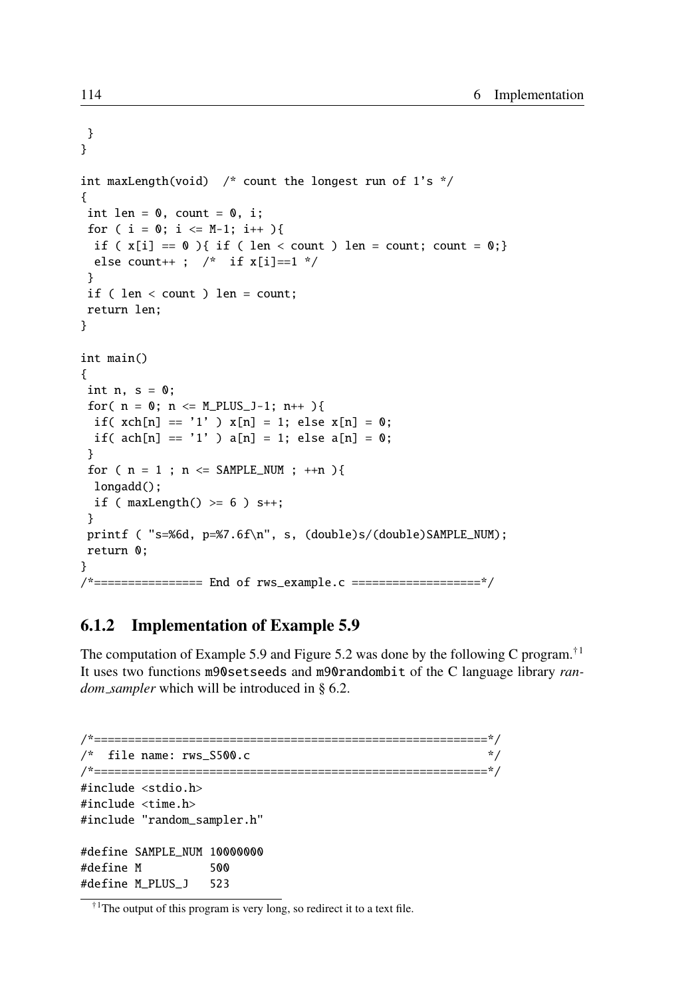```
}
}
int maxLength(void) /* count the longest run of 1's */
{
int len = 0, count = 0, i;
for ( i = 0; i \leq M-1; i++)if (x[i] == 0){ if ( len < count ) len = count; count = 0;}
 else count++ ; \prime^* if x[i]=1 */
}
if ( len < count ) len = count;
return len;
}
int main()
{
int n, s = 0;
for( n = 0; n \leq M_P LUS_1 - 1; n++ ){
 if( xch[n] == '1' ) x[n] = 1; else x[n] = 0;
 if( ach[n] == '1' ) a[n] = 1; else a[n] = 0;
}
for ( n = 1 ; n \leq SAMPLE_NUM ; +n ) {
 longadd();
 if ( maxLength() >= 6 ) s++;}
printf ( "s=%6d, p=%7.6f\n", s, (double)s/(double)SAMPLE_NUM);
return 0;
}
/*================ End of rws_example.c ===================*/
```
# 6.1.2 Implementation of Example 5.9

The computation of Example 5.9 and Figure 5.2 was done by the following C program.<sup>†1</sup> It uses two functions m90setseeds and m90randombit of the C language library *random\_sampler* which will be introduced in § 6.2.

```
/*==========================================================*/
\frac{*}{*} file name: rws_S500.c \frac{*}{*}/*==========================================================*/
#include <stdio.h>
#include <time.h>
#include "random_sampler.h"
#define SAMPLE_NUM 10000000
#define M 500
#define M_PLUS_J 523
```
 $\hbox{^{\dagger}1}$ The output of this program is very long, so redirect it to a text file.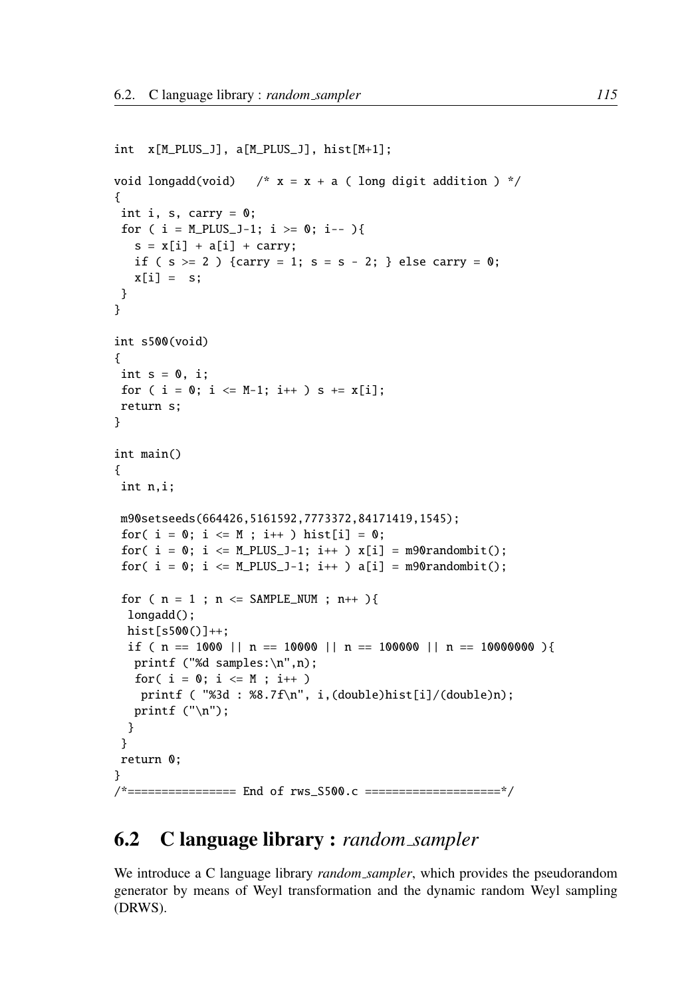```
int x[M_PLUS_J], a[M_PLUS_J], hist[M+1];
void longadd(void) /* x = x + a (long digit addition ) */
{
int i, s, carry = 0;
 for ( i = M_P LUS_1-1; i >= 0; i-- ){
  s = x[i] + a[i] + carry;if ( s > = 2 ) {carry = 1; s = s - 2; } else carry = 0;
  x[i] = s;}
}
int s500(void)
{
int s = 0, i;
for ( i = 0; i \leq M-1; i++) s += x[i];return s;
}
int main()
{
int n,i;
m90setseeds(664426,5161592,7773372,84171419,1545);
 for( i = 0; i \le M; i++) hist[i] = 0;
 for( i = 0; i \leq M_PLUS_1-1; i++) x[i] = m90randombit();
 for( i = 0; i \le M_PLUS_1-1; i++) a[i] = m90randombit();
 for ( n = 1 ; n \leq SAMPLE_NUM ; n_{++} ){
 longadd();
 hist[s500()]++;
 if ( n = 1000 || n = 10000 || n = 100000 || n = 10000000 ){
  printf ("%d samples:\n",n);
  for( i = 0; i \le M ; i++)printf ( "%3d : %8.7f\n", i,(double)hist[i]/(double)n);
  printf ("n");
 }
 }
return 0;
}
/*================ End of rws_S500.c ====================*/
```
# 6.2 C language library : *random sampler*

We introduce a C language library *random sampler*, which provides the pseudorandom generator by means of Weyl transformation and the dynamic random Weyl sampling (DRWS).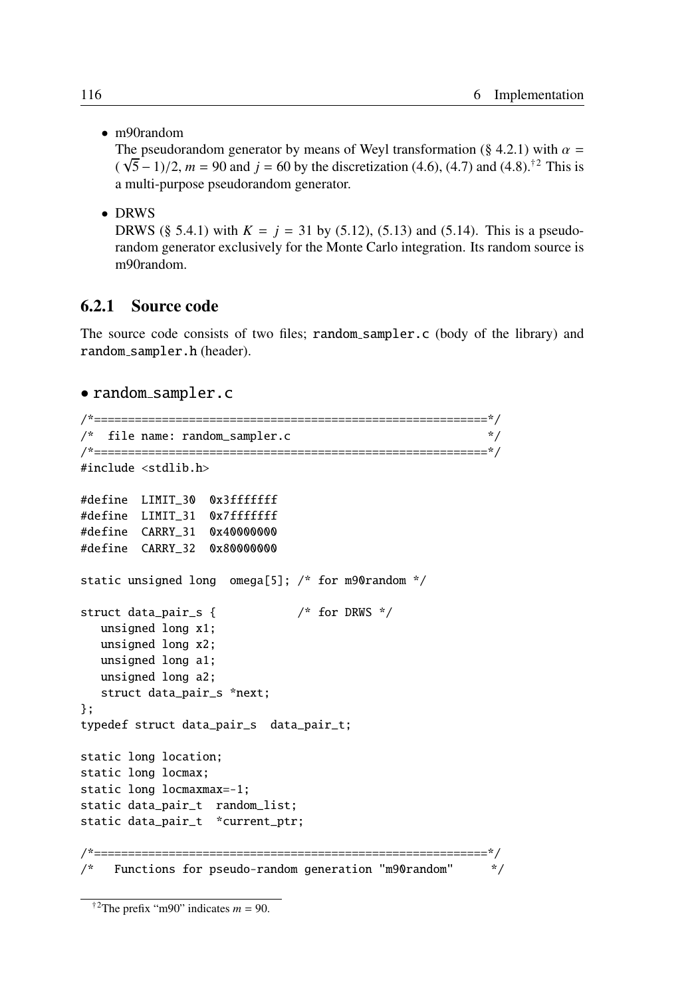• m90random

The pseudorandom generator by means of Weyl transformation (§ 4.2.1) with  $\alpha =$  $(\sqrt{5}-1)/2$ ,  $m = 90$  and  $j = 60$  by the discretization (4.6), (4.7) and (4.8).<sup>†2</sup> This is a multi-purpose pseudorandom generator.

• DRWS

DRWS (§ 5.4.1) with  $K = j = 31$  by (5.12), (5.13) and (5.14). This is a pseudorandom generator exclusively for the Monte Carlo integration. Its random source is m90random.

### 6.2.1 Source code

The source code consists of two files; random\_sampler.c (body of the library) and random sampler.h (header).

#### • random sampler.c

```
/*==========================================================*/
/* file name: random_sampler.c */
/*==========================================================*/
#include <stdlib.h>
#define LIMIT_30 0x3fffffff
#define LIMIT_31 0x7fffffff
#define CARRY_31 0x40000000
#define CARRY_32 0x80000000
static unsigned long omega[5]; /* for m90random */
struct data_pair_s { /* for DRWS */
  unsigned long x1;
  unsigned long x2;
  unsigned long a1;
  unsigned long a2;
  struct data_pair_s *next;
};
typedef struct data_pair_s data_pair_t;
static long location;
static long locmax;
static long locmaxmax=-1;
static data_pair_t random_list;
static data_pair_t *current_ptr;
/*==========================================================*/
/* Functions for pseudo-random generation "m90random"   */
```
<sup>&</sup>lt;sup>†2</sup>The prefix "m90" indicates  $m = 90$ .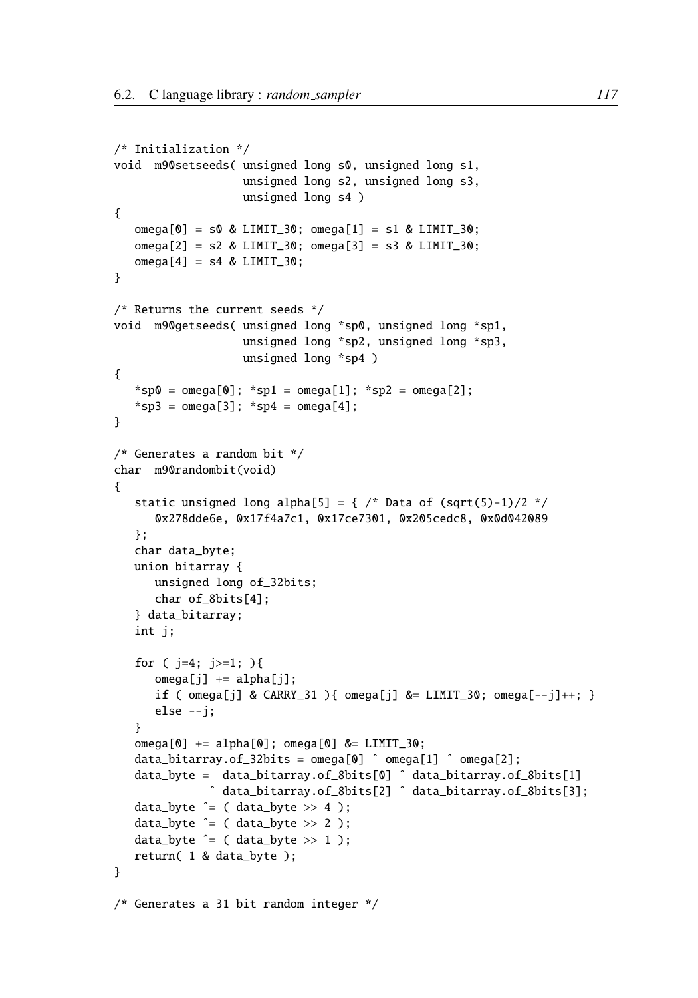```
/* Initialization */
void m90setseeds( unsigned long s0, unsigned long s1,
                   unsigned long s2, unsigned long s3,
                   unsigned long s4 )
{
   omega[0] = s0 & LIMIT_30; omega[1] = s1 & LIMIT_30;
   omega[2] = s2 & LIMIT_30; omega[3] = s3 & LIMIT_30;
   omega[4] = s4 & LIMIT_30;
}
/* Returns the current seeds */
void m90getseeds( unsigned long *sp0, unsigned long *sp1,
                   unsigned long *sp2, unsigned long *sp3,
                   unsigned long *sp4 )
{
   *sp0 = omega[0]; *sp1 = omega[1]; *sp2 = omega[2];
   *sp3 = omega[3]; *sp4 = omega[4];
}
/* Generates a random bit */
char m90randombit(void)
{
   static unsigned long alpha[5] = { /* Data of (sqrt(5)-1)/2 */0x278dde6e, 0x17f4a7c1, 0x17ce7301, 0x205cedc8, 0x0d042089
   };
   char data_byte;
   union bitarray {
      unsigned long of_32bits;
      char of_8bits[4];
   } data_bitarray;
   int j;
   for ( j=4; j>=1; ){
      omega[j] += alpha[j];if ( omega[j] & CARRY_31 ){ omega[j] &= LIMIT_30; omega[--j]+; }
      else --j;
   }
   omega[0] += alpha[0]; omega[0] &= LIMIT_30;
   data_bitarray.of_32bits = omega[0] \hat{O} omega[1] \hat{O} omega[2];
   data_byte = data_bitarray.of_8bits[0] ˆ data_bitarray.of_8bits[1]
              ˆ data_bitarray.of_8bits[2] ˆ data_bitarray.of_8bits[3];
   data_byte \hat{=} ( data_byte >> 4 );
   data_byte \hat{=} ( data_byte >> 2 );
   data_byte \hat{=} ( data_byte >> 1 );
   return( 1 & data_byte );
}
/* Generates a 31 bit random integer */
```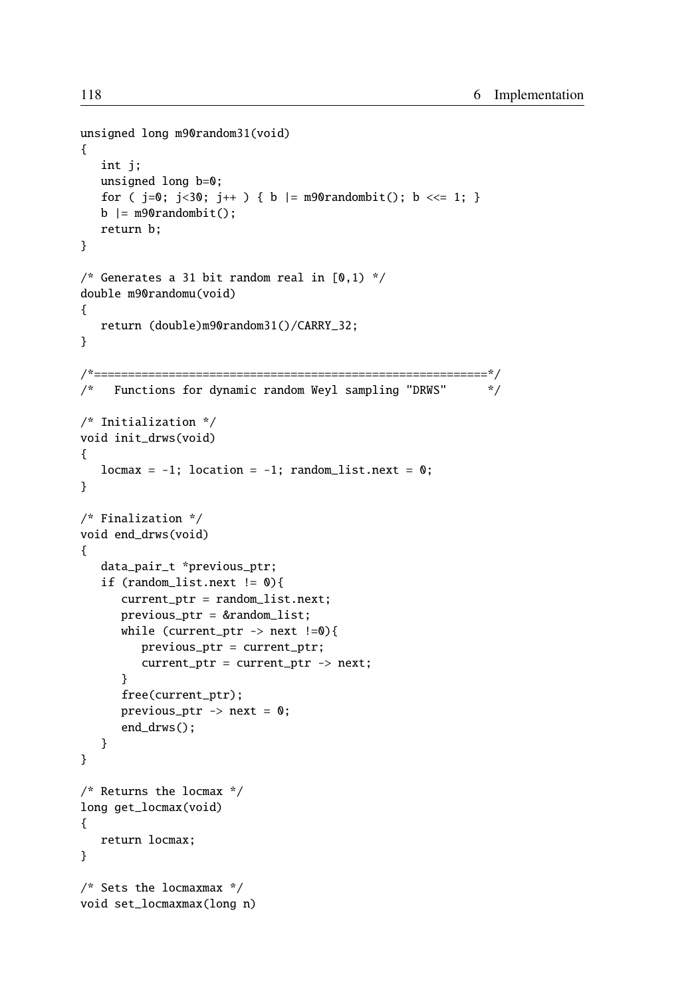```
unsigned long m90random31(void)
{
   int j;
   unsigned long b=0;
   for ( j=0; j<30; j++ ) { b |= m90randombit(); b \ll= 1; }
   b | = m90randombit();
   return b;
}
/* Generates a 31 bit random real in [0,1) */
double m90randomu(void)
{
   return (double)m90random31()/CARRY_32;
}
/*==========================================================*/
/* Functions for dynamic random Weyl sampling "DRWS" */
/* Initialization */
void init_drws(void)
{
   locmax = -1; location = -1; random_list.next = 0;
}
/* Finalization */
void end_drws(void)
{
   data_pair_t *previous_ptr;
   if (random\_list.next != 0)current_ptr = random_list.next;
      previous_ptr = &random_list;
      while (current_ptr \rightarrow next !=0){
         previous_ptr = current_ptr;
         current_ptr = current_ptr -> next;
      }
      free(current_ptr);
      previous_ptr \rightarrow next = 0;
      end_drws();
   }
}
/* Returns the locmax */
long get_locmax(void)
{
   return locmax;
}
/* Sets the locmaxmax */
void set_locmaxmax(long n)
```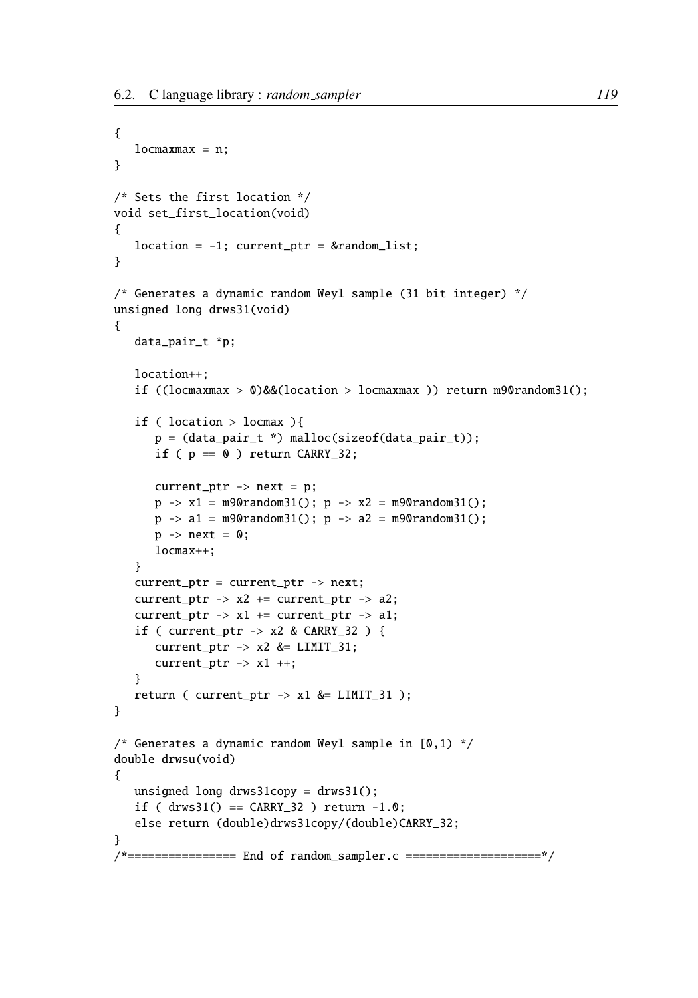```
{
   locmaxmax = n;
}
/* Sets the first location */
void set_first_location(void)
{
   location = -1; current_ptr = &random_list;
}
/* Generates a dynamic random Weyl sample (31 bit integer) */
unsigned long drws31(void)
{
   data_pair_t *p;
   location++;
   if ((locmaxmax > 0)&&(location > locmaxmax )) return m90random31();
   if ( location > locmax ){
      p = (data\_pair_t * ) malloc(sizeof(data_pair_t));
      if ( p == 0 ) return CARRY_32;
      current\_ptr -> next = p;
      p \rightarrow x1 = m90random31(); p \rightarrow x2 = m90random31();
      p \rightarrow a1 = m90random31(); p \rightarrow a2 = m90random31();
      p \rightarrow next = 0;
      locmax++;
   }
   current_ptr = current_ptr -> next;
   current_ptr \rightarrow x2 += current_ptr \rightarrow a2;
   current_ptr \rightarrow x1 \mp current_ptr \rightarrow a1;
   if ( current_ptr -> x2 & CARRY_32 ) {
      current\_ptr -> x2 &= LIMIT_31;
      current\_ptr -> x1 ++;
   }
   return ( current\_ptr -> x1 &= LIMIT_31 );
}
/* Generates a dynamic random Weyl sample in [0,1) */
double drwsu(void)
{
   unsigned long drws31copy = drws31();
   if ( drws31() == CARRY_32 ) return -1.0;
   else return (double)drws31copy/(double)CARRY_32;
}
/*================ End of random_sampler.c ====================*/
```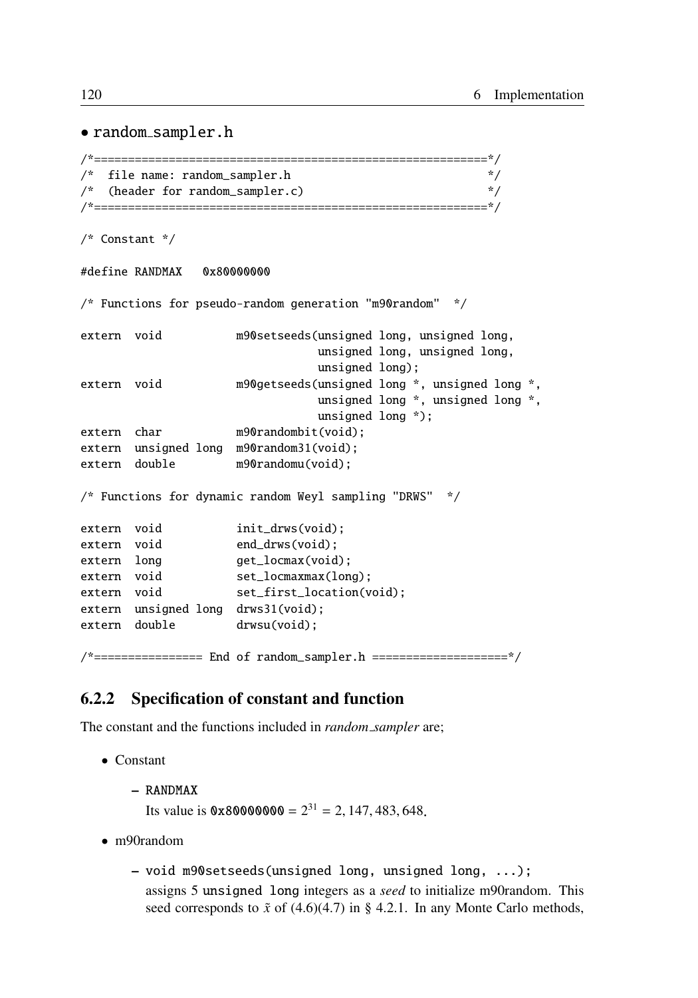#### • random sampler.h

```
/*==========================================================*/
/* file name: random_sampler.h */
/* (header for random_sampler.c) */*==========================================================*/
/* Constant */
#define RANDMAX 0x80000000
/* Functions for pseudo-random generation "m90random" */
extern void m90setseeds(unsigned long, unsigned long,
                              unsigned long, unsigned long,
                              unsigned long);
extern void m90getseeds(unsigned long *, unsigned long *,
                              unsigned long *, unsigned long *,
                              unsigned long *);
extern char m90randombit(void);
extern unsigned long m90random31(void);
extern double m90randomu(void);
/* Functions for dynamic random Weyl sampling "DRWS" */
extern void init_drws(void);
extern void end_drws(void);
extern long get_locmax(void);
extern void set_locmaxmax(long);
extern void set_first_location(void);
extern unsigned long drws31(void);
extern double drwsu(void);
/*================ End of random_sampler.h ====================*/
```
## 6.2.2 Specification of constant and function

The constant and the functions included in *random sampler* are;

- Constant
	- RANDMAX Its value is  $0 \times 80000000 = 2^{31} = 2, 147, 483, 648$ .
- m90random
	- void m90setseeds(unsigned long, unsigned long, ...); assigns 5 unsigned long integers as a *seed* to initialize m90random. This seed corresponds to  $\tilde{x}$  of (4.6)(4.7) in § 4.2.1. In any Monte Carlo methods,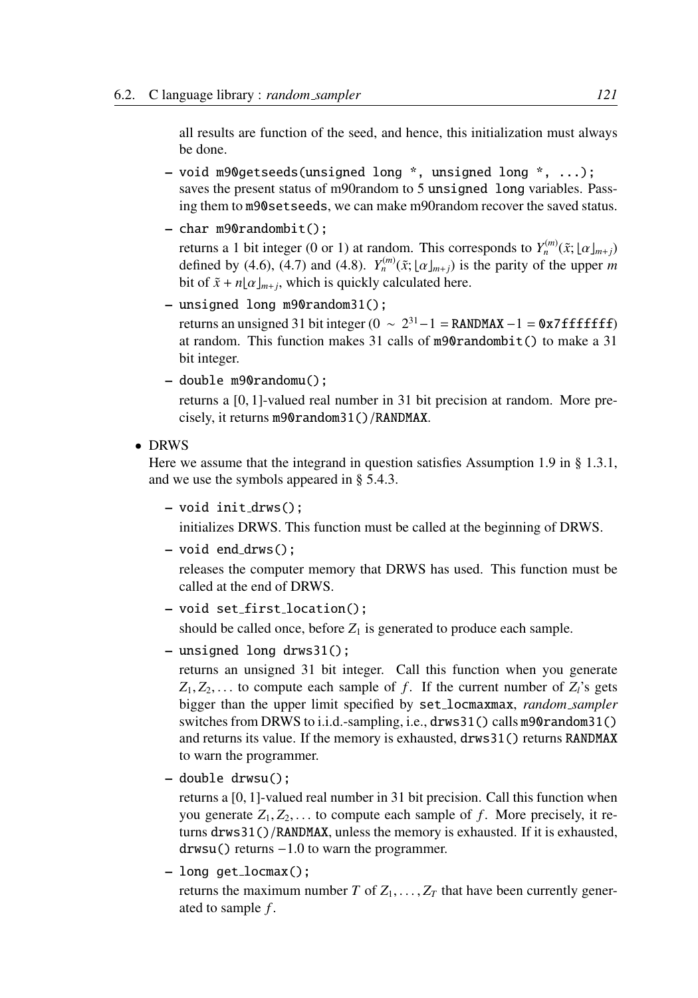all results are function of the seed, and hence, this initialization must always be done.

- void m90getseeds(unsigned long \*, unsigned long \*, ...); saves the present status of m90random to 5 unsigned long variables. Passing them to m90setseeds, we can make m90random recover the saved status.
- char m90randombit();

returns a 1 bit integer (0 or 1) at random. This corresponds to  $Y_n^{(m)}(\tilde{x}; \lfloor \alpha \rfloor_{m+j})$ defined by (4.6), (4.7) and (4.8).  $Y_n^{(m)}(\tilde{x}; \lfloor \alpha \rfloor_{m+j})$  is the parity of the upper *m* bit of  $\tilde{x} + n\lfloor \alpha \rfloor_{m+j}$ , which is quickly calculated here.

- unsigned long m90random31(); returns an unsigned 31 bit integer ( $0 \sim 2^{31} - 1 =$  RANDMAX  $-1 = 0x7$  ffffffff) at random. This function makes 31 calls of m90randombit() to make a 31 bit integer.
- double m90randomu();

returns a [0, 1]-valued real number in 31 bit precision at random. More precisely, it returns m90random31()/RANDMAX.

• DRWS

Here we assume that the integrand in question satisfies Assumption 1.9 in § 1.3.1, and we use the symbols appeared in § 5.4.3.

– void init drws();

initializes DRWS. This function must be called at the beginning of DRWS.

– void end drws();

releases the computer memory that DRWS has used. This function must be called at the end of DRWS.

– void set first location();

should be called once, before  $Z_1$  is generated to produce each sample.

– unsigned long drws31();

returns an unsigned 31 bit integer. Call this function when you generate  $Z_1, Z_2, \ldots$  to compute each sample of *f*. If the current number of  $Z_i$ 's gets bigger than the upper limit specified by set locmaxmax, *random sampler* switches from DRWS to i.i.d.-sampling, i.e., drws31() calls m90random31() and returns its value. If the memory is exhausted, drws31() returns RANDMAX to warn the programmer.

– double drwsu();

returns a [0, 1]-valued real number in 31 bit precision. Call this function when you generate  $Z_1, Z_2, \ldots$  to compute each sample of f. More precisely, it returns drws31()/RANDMAX, unless the memory is exhausted. If it is exhausted, drwsu() returns −1.0 to warn the programmer.

– long get locmax();

returns the maximum number *T* of  $Z_1, \ldots, Z_T$  that have been currently generated to sample *f* .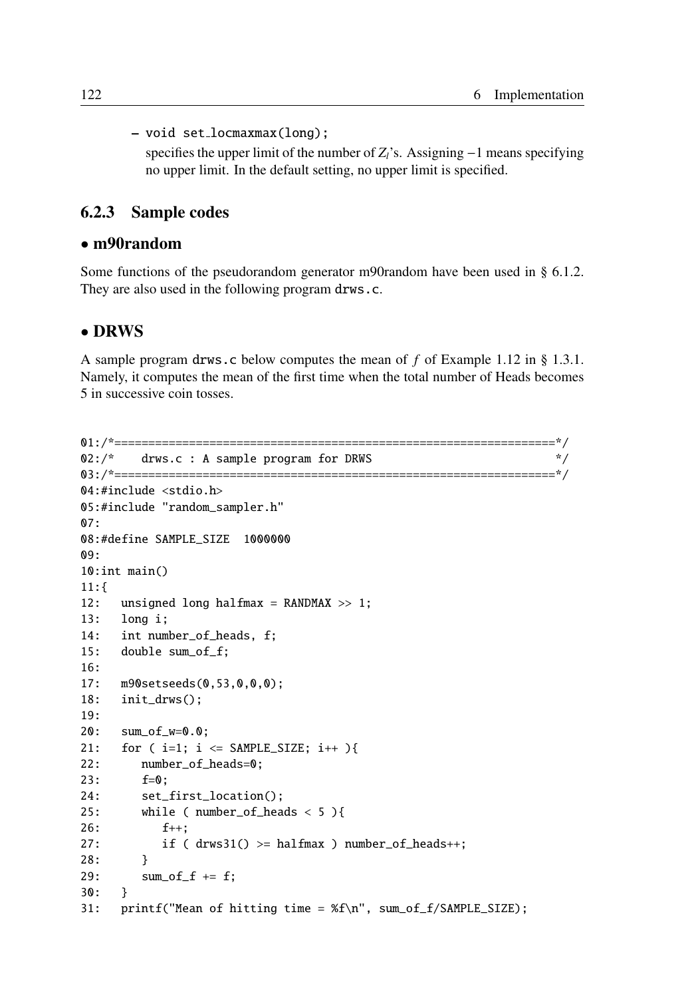– void set locmaxmax(long); specifies the upper limit of the number of *Z*<sub>*l*</sub>'s. Assigning −1 means specifying no upper limit. In the default setting, no upper limit is specified.

## 6.2.3 Sample codes

### • m90random

Some functions of the pseudorandom generator m90random have been used in § 6.1.2. They are also used in the following program drws.c.

#### • DRWS

A sample program drws.c below computes the mean of *f* of Example 1.12 in § 1.3.1. Namely, it computes the mean of the first time when the total number of Heads becomes 5 in successive coin tosses.

```
01:/*=================================================================*/
02:/* drws.c : A sample program for DRWS */
03:/*=================================================================*/
04:#include <stdio.h>
05:#include "random_sampler.h"
07:
08:#define SAMPLE_SIZE 1000000
09:
10:int main()
11:{
12: unsigned long halfmax = RANDMAX >> 1;
13: long i;
14: int number_of_heads, f;
15: double sum_of_f;
16:
17: m90setseeds(0,53,0,0,0);
18: init_drws();
19:
20: sum_of_w=0.0;
21: for ( i=1; i \leq SAMPLE_SIZE; i++ ){
22: number_of_heads=0;
23: f=0;
24: set_first_location();
25: while ( number_of_heads < 5 ){
26: f_{++}:27: if ( drws31() >= halfmax ) number_of_heads++;
28: }
29: sum_of_f += f;30: }
31: printf("Mean of hitting time = %f\n", sum_of_f/SAMPLE_SIZE);
```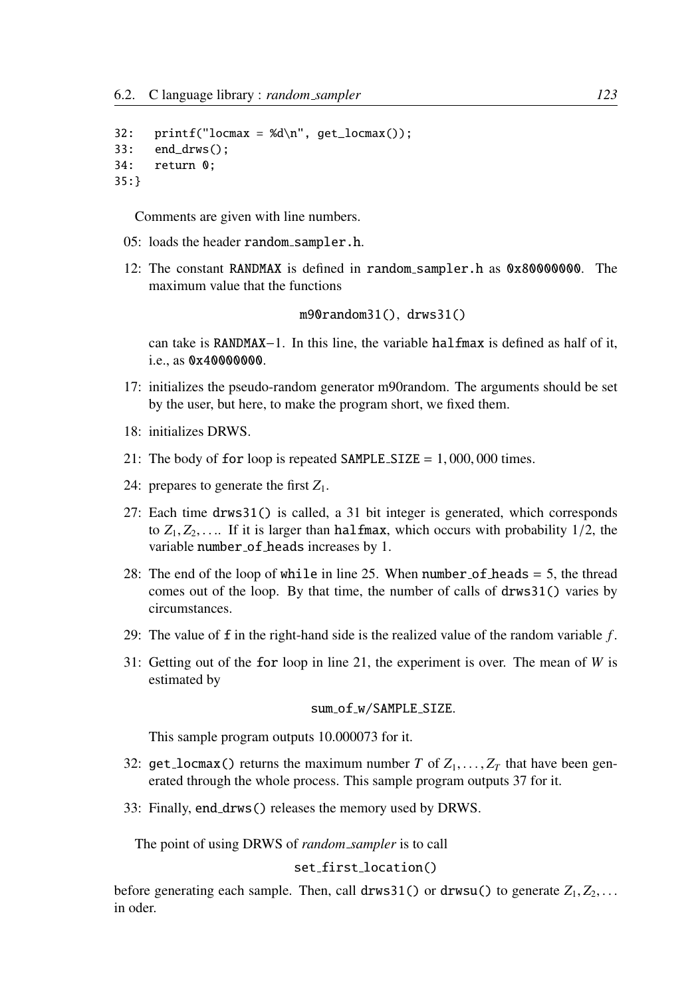```
32: printf("locmax = %d\n", get_locmax());
33: end_drws();
34: return 0;
35:}
```
Comments are given with line numbers.

- 05: loads the header random sampler.h.
- 12: The constant RANDMAX is defined in random sampler.h as 0x80000000. The maximum value that the functions

m90random31(), drws31()

can take is RANDMAX–1. In this line, the variable halfmax is defined as half of it, i.e., as 0x40000000.

- 17: initializes the pseudo-random generator m90random. The arguments should be set by the user, but here, to make the program short, we fixed them.
- 18: initializes DRWS.
- 21: The body of for loop is repeated SAMPLE\_SIZE =  $1,000,000$  times.
- 24: prepares to generate the first  $Z_1$ .
- 27: Each time drws31() is called, a 31 bit integer is generated, which corresponds to  $Z_1, Z_2, \ldots$  If it is larger than halfmax, which occurs with probability  $1/2$ , the variable number of heads increases by 1.
- 28: The end of the loop of while in line 25. When number of heads  $= 5$ , the thread comes out of the loop. By that time, the number of calls of drws31() varies by circumstances.
- 29: The value of f in the right-hand side is the realized value of the random variable *f* .
- 31: Getting out of the for loop in line 21, the experiment is over. The mean of *W* is estimated by

#### sum\_of\_w/SAMPLE\_SIZE.

This sample program outputs 10.000073 for it.

- 32: get locmax() returns the maximum number *T* of  $Z_1, \ldots, Z_T$  that have been generated through the whole process. This sample program outputs 37 for it.
- 33: Finally, end drws() releases the memory used by DRWS.

The point of using DRWS of *random sampler* is to call

#### set first location()

before generating each sample. Then, call drws31() or drwsu() to generate  $Z_1, Z_2, \ldots$ in oder.